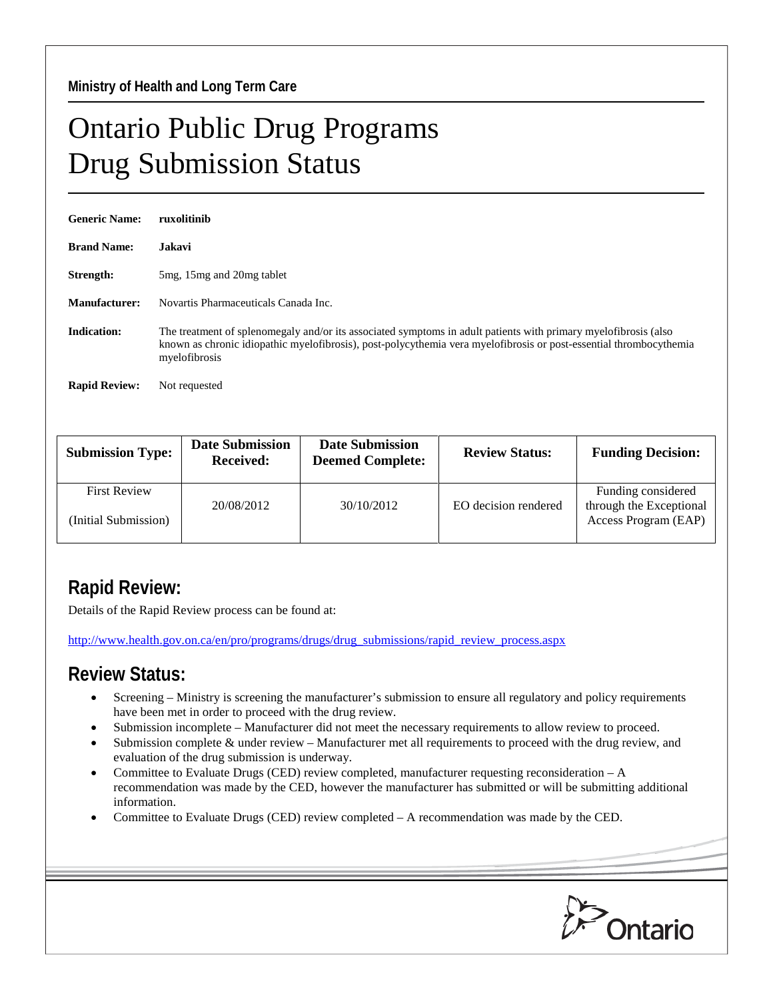## Ontario Public Drug Programs Drug Submission Status

| <b>Generic Name:</b> | ruxolitinib                                                                                                                                                                                                                                            |  |  |  |
|----------------------|--------------------------------------------------------------------------------------------------------------------------------------------------------------------------------------------------------------------------------------------------------|--|--|--|
| <b>Brand Name:</b>   | <b>Jakavi</b>                                                                                                                                                                                                                                          |  |  |  |
| Strength:            | 5 mg, 15 mg and 20 mg tablet                                                                                                                                                                                                                           |  |  |  |
| Manufacturer:        | Novartis Pharmaceuticals Canada Inc.                                                                                                                                                                                                                   |  |  |  |
| <b>Indication:</b>   | The treatment of splenomegaly and/or its associated symptoms in adult patients with primary myelofibrosis (also<br>known as chronic idiopathic myelofibrosis), post-polycythemia vera myelofibrosis or post-essential thrombocythemia<br>myelofibrosis |  |  |  |
| <b>Rapid Review:</b> | Not requested                                                                                                                                                                                                                                          |  |  |  |

| <b>Submission Type:</b>                     | <b>Date Submission</b><br><b>Received:</b> | <b>Date Submission</b><br><b>Deemed Complete:</b> | <b>Review Status:</b> | <b>Funding Decision:</b>                                              |
|---------------------------------------------|--------------------------------------------|---------------------------------------------------|-----------------------|-----------------------------------------------------------------------|
| <b>First Review</b><br>(Initial Submission) | 20/08/2012                                 | 30/10/2012                                        | EO decision rendered  | Funding considered<br>through the Exceptional<br>Access Program (EAP) |

## **Rapid Review:**

Details of the Rapid Review process can be found at:

[http://www.health.gov.on.ca/en/pro/programs/drugs/drug\\_submissions/rapid\\_review\\_process.aspx](http://www.health.gov.on.ca/en/pro/programs/drugs/drug_submissions/rapid_review_process.aspx)

## **Review Status:**

- Screening Ministry is screening the manufacturer's submission to ensure all regulatory and policy requirements have been met in order to proceed with the drug review.
- Submission incomplete Manufacturer did not meet the necessary requirements to allow review to proceed.
- Submission complete & under review Manufacturer met all requirements to proceed with the drug review, and evaluation of the drug submission is underway.
- Committee to Evaluate Drugs (CED) review completed, manufacturer requesting reconsideration  $-A$ recommendation was made by the CED, however the manufacturer has submitted or will be submitting additional information.
- Committee to Evaluate Drugs (CED) review completed A recommendation was made by the CED.